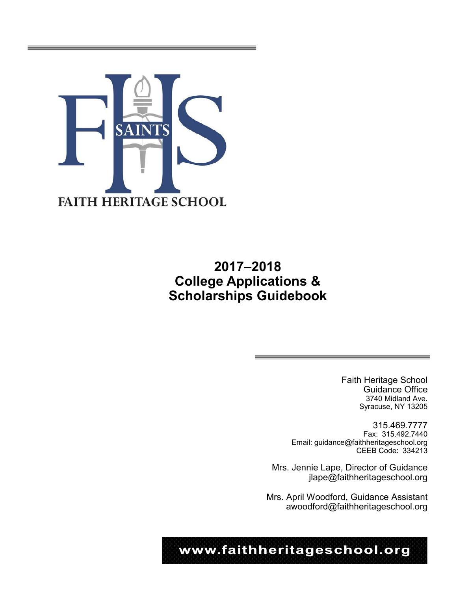

# **2017–2018 College Applications & Scholarships Guidebook**

Faith Heritage School Guidance Office 3740 Midland Ave. Syracuse, NY 13205

315.469.7777 Fax: 315.492.7440 Email: guidance@faithheritageschool.org CEEB Code: 334213

Mrs. Jennie Lape, Director of Guidance jlape@faithheritageschool.org

Mrs. April Woodford, Guidance Assistant awoodford@faithheritageschool.org

www.faithheritageschool.org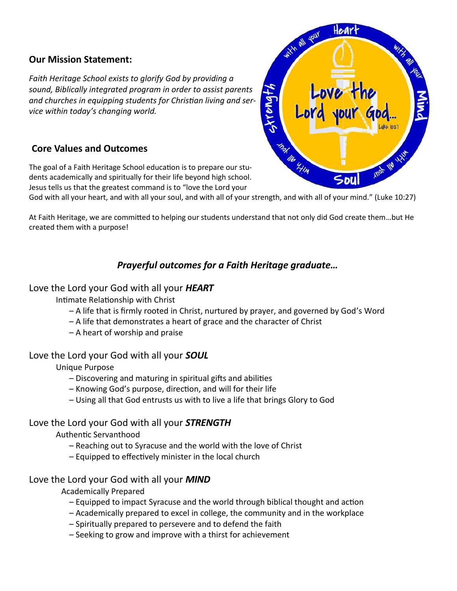# **Our Mission Statement:**

*Faith Heritage School exists to glorify God by providing a sound, Biblically integrated program in order to assist parents and churches in equipping students for Christian living and service within today's changing world.*

# **Core Values and Outcomes**

The goal of a Faith Heritage School education is to prepare our students academically and spiritually for their life beyond high school. Jesus tells us that the greatest command is to "love the Lord your

God with all your heart, and with all your soul, and with all of your strength, and with all of your mind." (Luke 10:27)

At Faith Heritage, we are committed to helping our students understand that not only did God create them…but He created them with a purpose!

# *Prayerful outcomes for a Faith Heritage graduate…*

# Love the Lord your God with all your *HEART*

Intimate Relationship with Christ

- A life that is firmly rooted in Christ, nurtured by prayer, and governed by God's Word
- A life that demonstrates a heart of grace and the character of Christ
- A heart of worship and praise

# Love the Lord your God with all your *SOUL*

Unique Purpose

- Discovering and maturing in spiritual gifts and abilities
- Knowing God's purpose, direction, and will for their life
- Using all that God entrusts us with to live a life that brings Glory to God

## Love the Lord your God with all your *STRENGTH*

## Authentic Servanthood

- Reaching out to Syracuse and the world with the love of Christ
- Equipped to effectively minister in the local church

## Love the Lord your God with all your *MIND*

Academically Prepared

- Equipped to impact Syracuse and the world through biblical thought and action
- Academically prepared to excel in college, the community and in the workplace
- Spiritually prepared to persevere and to defend the faith
- Seeking to grow and improve with a thirst for achievement

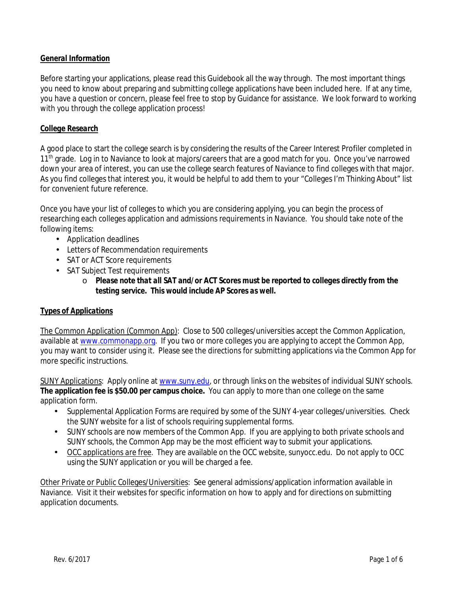## *General Information*

Before starting your applications, please read this Guidebook all the way through. The most important things you need to know about preparing and submitting college applications have been included here. If at any time, you have a question or concern, please feel free to stop by Guidance for assistance. We look forward to working with you through the college application process!

#### *College Research*

A good place to start the college search is by considering the results of the Career Interest Profiler completed in 11<sup>th</sup> grade. Log in to Naviance to look at majors/careers that are a good match for you. Once you've narrowed down your area of interest, you can use the college search features of Naviance to find colleges with that major. As you find colleges that interest you, it would be helpful to add them to your "Colleges I'm Thinking About" list for convenient future reference.

Once you have your list of colleges to which you are considering applying, you can begin the process of researching each colleges application and admissions requirements in Naviance. You should take note of the following items:

- Application deadlines
- Letters of Recommendation requirements
- SAT or ACT Score requirements
- . SAT Subject Test requirements
	- o *Please note that all SAT and/or ACT Scores must be reported to colleges directly from the testing service. This would include AP Scores as well.*

#### *Types of Applications*

The Common Application (Common App): Close to 500 colleges/universities accept the Common Application, available at www.commonapp.org. If you two or more colleges you are applying to accept the Common App, you may want to consider using it. Please see the directions for submitting applications via the Common App for more specific instructions.

SUNY Applications: Apply online at www.suny.edu, or through links on the websites of individual SUNY schools. **The application fee is \$50.00 per campus choice.** You can apply to more than one college on the same application form.

- Supplemental Application Forms are required by some of the SUNY 4-year colleges/universities. Check the SUNY website for a list of schools requiring supplemental forms.
- SUNY schools are now members of the Common App. If you are applying to both private schools and SUNY schools, the Common App may be the most efficient way to submit your applications.
- *OCC applications are free*. They are available on the OCC website, sunyocc.edu. Do not apply to OCC using the SUNY application or you will be charged a fee.

Other Private or Public Colleges/Universities: See general admissions/application information available in Naviance. Visit it their websites for specific information on how to apply and for directions on submitting application documents.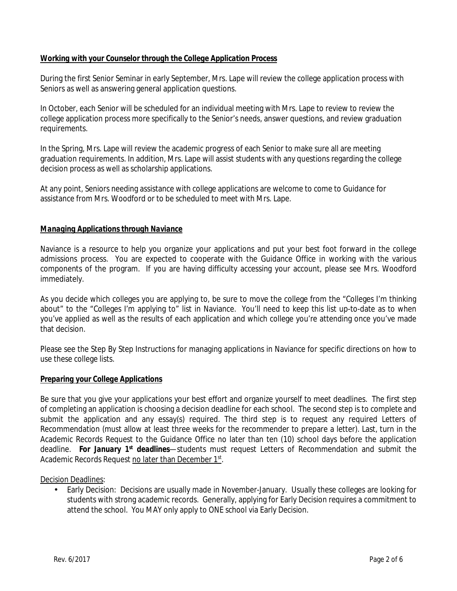## *Working with your Counselor through the College Application Process*

During the first Senior Seminar in early September, Mrs. Lape will review the college application process with Seniors as well as answering general application questions.

In October, each Senior will be scheduled for an individual meeting with Mrs. Lape to review to review the college application process more specifically to the Senior's needs, answer questions, and review graduation requirements.

In the Spring, Mrs. Lape will review the academic progress of each Senior to make sure all are meeting graduation requirements. In addition, Mrs. Lape will assist students with any questions regarding the college decision process as well as scholarship applications.

At any point, Seniors needing assistance with college applications are welcome to come to Guidance for assistance from Mrs. Woodford or to be scheduled to meet with Mrs. Lape.

#### *Managing Applications through Naviance*

Naviance is a resource to help you organize your applications and put your best foot forward in the college admissions process. You are expected to cooperate with the Guidance Office in working with the various components of the program. If you are having difficulty accessing your account, please see Mrs. Woodford immediately.

As you decide which colleges you are applying to, be sure to move the college from the "Colleges I'm thinking about" to the "Colleges I'm applying to" list in Naviance. You'll need to keep this list up-to-date as to when you've applied as well as the results of each application and which college you're attending once you've made that decision.

Please see the Step By Step Instructions for managing applications in Naviance for specific directions on how to use these college lists.

#### *Preparing your College Applications*

Be sure that you give your applications your best effort and organize yourself to meet deadlines. The first step of completing an application is choosing a decision deadline for each school. The second step is to complete and submit the application and any essay(s) required. The third step is to request any required Letters of Recommendation (must allow at least three weeks for the recommender to prepare a letter). Last, turn in the Academic Records Request to the Guidance Office no later than ten (10) school days before the application deadline. *For January 1st deadlines*—students must request Letters of Recommendation and submit the Academic Records Request no later than December 1st.

Decision Deadlines:

Early Decision: Decisions are usually made in November-January. Usually these colleges are looking for students with strong academic records. Generally, applying for Early Decision requires a commitment to attend the school. You MAY only apply to ONE school via Early Decision.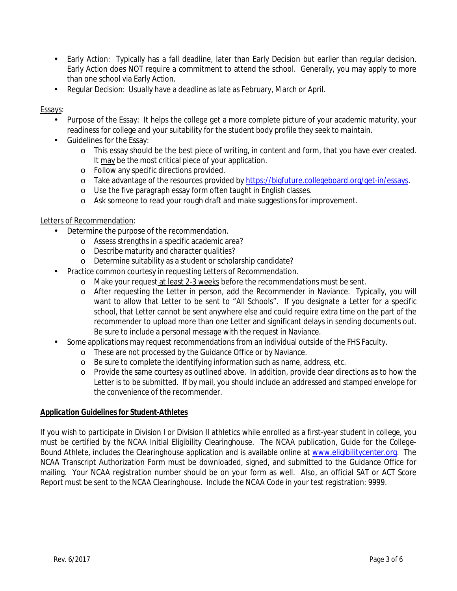- Early Action: Typically has a fall deadline, later than Early Decision but earlier than regular decision. Early Action does NOT require a commitment to attend the school. Generally, you may apply to more than one school via Early Action.
- Regular Decision: Usually have a deadline as late as February, March or April.

#### Essays:

- Purpose of the Essay: It helps the college get a more complete picture of your academic maturity, your readiness for college and your suitability for the student body profile they seek to maintain.
- Guidelines for the Essay:
	- o This essay should be the best piece of writing, in content and form, that you have ever created. It may be the most critical piece of your application.
	- o Follow any specific directions provided.
	- o Take advantage of the resources provided by https://bigfuture.collegeboard.org/get-in/essays.
	- o Use the five paragraph essay form often taught in English classes.
	- o Ask someone to read your rough draft and make suggestions for improvement.

#### Letters of Recommendation:

- Determine the purpose of the recommendation.
	- o Assess strengths in a specific academic area?
	- o Describe maturity and character qualities?
	- o Determine suitability as a student or scholarship candidate?
- Practice common courtesy in requesting Letters of Recommendation.
	- o Make your request at least 2-3 weeks before the recommendations must be sent.
	- o After requesting the Letter in person, add the Recommender in Naviance. Typically, you will want to allow that Letter to be sent to "All Schools". If you designate a Letter for a specific school, that Letter cannot be sent anywhere else and could require extra time on the part of the recommender to upload more than one Letter and significant delays in sending documents out. Be sure to include a personal message with the request in Naviance.
- Some applications may request recommendations from an individual outside of the FHS Faculty.
	- o These are not processed by the Guidance Office or by Naviance.
	- o Be sure to complete the identifying information such as name, address, etc.
	- o Provide the same courtesy as outlined above. In addition, provide clear directions as to how the Letter is to be submitted. If by mail, you should include an addressed and stamped envelope for the convenience of the recommender.

#### *Application Guidelines for Student-Athletes*

If you wish to participate in Division I or Division II athletics while enrolled as a first-year student in college, you must be certified by the NCAA Initial Eligibility Clearinghouse. The NCAA publication, *Guide for the College-Bound Athlete*, includes the Clearinghouse application and is available online at www.eligibilitycenter.org. The NCAA Transcript Authorization Form must be downloaded, signed, and submitted to the Guidance Office for mailing. Your NCAA registration number should be on your form as well. Also, an official SAT or ACT Score Report must be sent to the NCAA Clearinghouse. Include the NCAA Code in your test registration: 9999.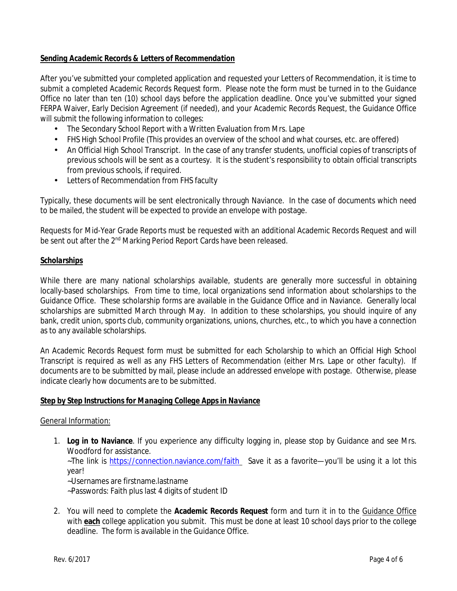## *Sending Academic Records & Letters of Recommendation*

After you've submitted your completed application and requested your Letters of Recommendation, it is time to submit a completed Academic Records Request form. Please note the form must be turned in to the Guidance Office no later than ten (10) school days before the application deadline. Once you've submitted your signed FERPA Waiver, Early Decision Agreement (if needed), and your Academic Records Request, the Guidance Office will submit the following information to colleges:

- The Secondary School Report with a Written Evaluation from Mrs. Lape
- FHS High School Profile (This provides an overview of the school and what courses, etc. are offered)
- An Official High School Transcript. In the case of any transfer students, unofficial copies of transcripts of previous schools will be sent as a courtesy. It is the student's responsibility to obtain official transcripts from previous schools, if required.
- Letters of Recommendation from FHS faculty

Typically, these documents will be sent electronically through Naviance. In the case of documents which need to be mailed, the student will be expected to provide an envelope with postage.

Requests for Mid-Year Grade Reports must be requested with an additional Academic Records Request and will be sent out after the 2<sup>nd</sup> Marking Period Report Cards have been released.

#### *Scholarships*

While there are many national scholarships available, students are generally more successful in obtaining locally-based scholarships. From time to time, local organizations send information about scholarships to the Guidance Office. These scholarship forms are available in the Guidance Office and in Naviance. Generally local scholarships are submitted March through May. In addition to these scholarships, you should inquire of any bank, credit union, sports club, community organizations, unions, churches, etc., to which you have a connection as to any available scholarships.

An Academic Records Request form must be submitted for each Scholarship to which an Official High School Transcript is required as well as any FHS Letters of Recommendation (either Mrs. Lape or other faculty). If documents are to be submitted by mail, please include an addressed envelope with postage. Otherwise, please indicate clearly how documents are to be submitted.

#### *Step by Step Instructions for Managing College Apps in Naviance*

#### General Information:

- 1. **Log in to Naviance**. If you experience any difficulty logging in, please stop by Guidance and see Mrs. Woodford for assistance. ~The link is https://connection.naviance.com/faith Save it as a favorite—you'll be using it a lot this year!
	- ~Usernames are firstname.lastname
	- ~Passwords: Faith plus last 4 digits of student ID
- 2. You will need to complete the **Academic Records Request** form and turn it in to the Guidance Office with **each** college application you submit. This must be done at least 10 school days prior to the college deadline. The form is available in the Guidance Office.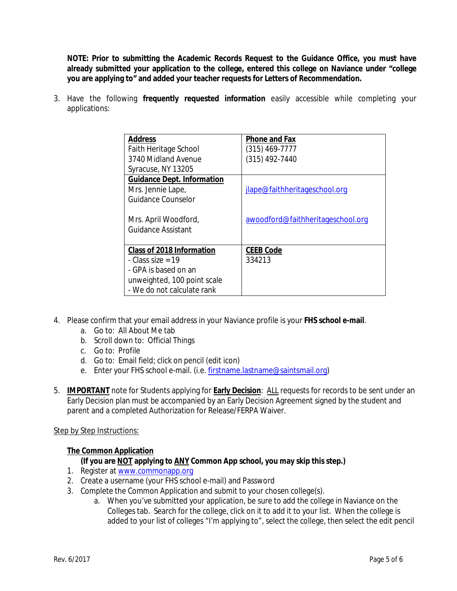**NOTE: Prior to submitting the Academic Records Request to the Guidance Office, you must have already submitted your application to the college, entered this college on Naviance under "college you are applying to" and added your teacher requests for Letters of Recommendation.** 

3. Have the following **frequently requested information** easily accessible while completing your applications:

| <b>Address</b>                    | <b>Phone and Fax</b>              |
|-----------------------------------|-----------------------------------|
| Faith Heritage School             | $(315)$ 469-7777                  |
| 3740 Midland Avenue               | (315) 492-7440                    |
| Syracuse, NY 13205                |                                   |
| <b>Guidance Dept. Information</b> |                                   |
| Mrs. Jennie Lape,                 | jlape@faithheritageschool.org     |
| Guidance Counselor                |                                   |
|                                   |                                   |
| Mrs. April Woodford,              | awoodford@faithheritageschool.org |
| Guidance Assistant                |                                   |
|                                   |                                   |
| Class of 2018 Information         | <b>CEEB Code</b>                  |
| - Class size = $19$               | 334213                            |
| - GPA is based on an              |                                   |
| unweighted, 100 point scale       |                                   |
| - We do not calculate rank        |                                   |

- 4. Please confirm that your email address in your Naviance profile is your **FHS school e-mail**.
	- a. Go to: All About Me tab
	- b. Scroll down to: Official Things
	- c. Go to: Profile
	- d. Go to: Email field; click on pencil (edit icon)
	- e. Enter your FHS school e-mail. (i.e. firstname.lastname@saintsmail.org)
- 5. **IMPORTANT** note for Students applying for **Early Decision**: ALL requests for records to be sent under an Early Decision plan must be accompanied by an Early Decision Agreement signed by the student and parent and a completed Authorization for Release/FERPA Waiver.

#### Step by Step Instructions:

#### **The Common Application**

#### **(If you are NOT applying to ANY Common App school, you may skip this step.)**

- 1. Register at www.commonapp.org
- 2. Create a username (your FHS school e-mail) and Password
- 3. Complete the Common Application and submit to your chosen college(s).
	- a. When you've submitted your application, be sure to add the college in Naviance on the Colleges tab. Search for the college, click on it to add it to your list. When the college is added to your list of colleges "I'm applying to", select the college, then select the edit pencil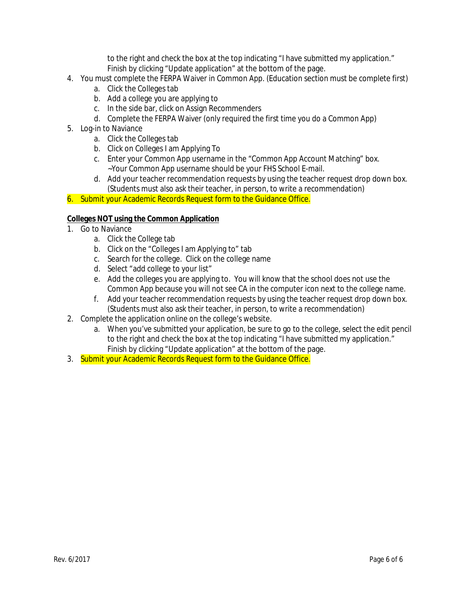to the right and check the box at the top indicating "I have submitted my application." Finish by clicking "Update application" at the bottom of the page.

- 4. You must complete the FERPA Waiver in Common App. (Education section must be complete first)
	- a. Click the Colleges tab
	- b. Add a college you are applying to
	- c. In the side bar, click on Assign Recommenders
	- d. Complete the FERPA Waiver (only required the first time you do a Common App)
- 5. Log-in to Naviance
	- a. Click the Colleges tab
	- b. Click on Colleges I am Applying To
	- c. Enter your Common App username in the "Common App Account Matching" box. ~Your Common App username should be your FHS School E-mail.
	- d. Add your teacher recommendation requests by using the teacher request drop down box. (Students must also ask their teacher, in person, to write a recommendation)

6. Submit your Academic Records Request form to the Guidance Office.

#### **Colleges NOT using the Common Application**

- 1. Go to Naviance
	- a. Click the College tab
	- b. Click on the "Colleges I am Applying to" tab
	- c. Search for the college. Click on the college name
	- d. Select "add college to your list"
	- e. Add the colleges you are applying to. You will know that the school does not use the Common App because you will not see CA in the computer icon next to the college name.
	- f. Add your teacher recommendation requests by using the teacher request drop down box. (Students must also ask their teacher, in person, to write a recommendation)
- 2. Complete the application online on the college's website.
	- a. When you've submitted your application, be sure to go to the college, select the edit pencil to the right and check the box at the top indicating "I have submitted my application." Finish by clicking "Update application" at the bottom of the page.
- 3. Submit your Academic Records Request form to the Guidance Office.